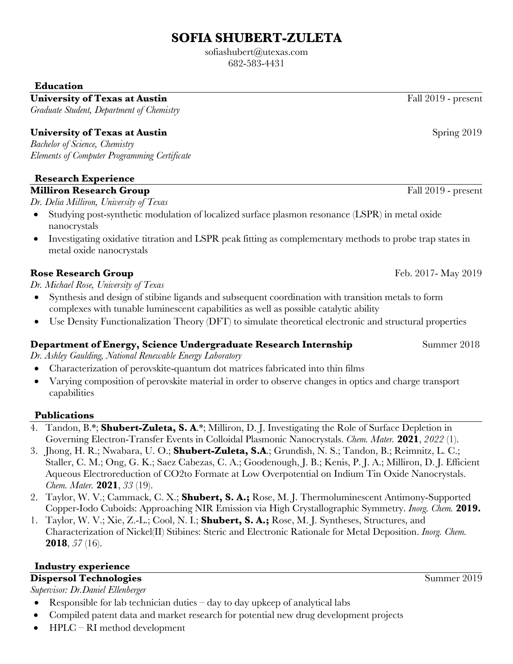# **SOFIA SHUBERT-ZULETA**

sofiashubert@utexas.com 682-583-4431

**Education**

University of Texas at Austin **Fall 2019** - present

*Graduate Student, Department of Chemistry* 

# **University of Texas at Austin Spring 2019** Spring 2019

*Bachelor of Science, Chemistry Elements of Computer Programming Certificate*

# **Research Experience**

# **Milliron Research Group Fall 2019 - present**

*Dr. Delia Milliron, University of Texas*

- Studying post-synthetic modulation of localized surface plasmon resonance (LSPR) in metal oxide nanocrystals
- Investigating oxidative titration and LSPR peak fitting as complementary methods to probe trap states in metal oxide nanocrystals

## **Rose Research Group**  Feb. 2017- May 2019

*Dr. Michael Rose, University of Texas*

- Synthesis and design of stibine ligands and subsequent coordination with transition metals to form complexes with tunable luminescent capabilities as well as possible catalytic ability
- Use Density Functionalization Theory (DFT) to simulate theoretical electronic and structural properties

#### **Department of Energy, Science Undergraduate Research Internship Summer 2018**

*Dr. Ashley Gaulding, National Renewable Energy Laboratory*

- Characterization of perovskite-quantum dot matrices fabricated into thin films
- Varying composition of perovskite material in order to observe changes in optics and charge transport capabilities

#### **Publications**

- 4. Tandon, B.\*; **Shubert-Zuleta, S. A**.\*; Milliron, D. J. Investigating the Role of Surface Depletion in Governing Electron-Transfer Events in Colloidal Plasmonic Nanocrystals. *Chem. Mater.* **2021**, *2022* (1).
- 3. Jhong, H. R.; Nwabara, U. O.; **Shubert-Zuleta, S.A**.; Grundish, N. S.; Tandon, B.; Reimnitz, L. C.; Staller, C. M.; Ong, G. K.; Saez Cabezas, C. A.; Goodenough, J. B.; Kenis, P. J. A.; Milliron, D. J. Efficient Aqueous Electroreduction of CO2to Formate at Low Overpotential on Indium Tin Oxide Nanocrystals. *Chem. Mater.* **2021**, *33* (19).
- 2. Taylor, W. V.; Cammack, C. X.; **Shubert, S. A.;** Rose, M. J. Thermoluminescent Antimony-Supported Copper-Iodo Cuboids: Approaching NIR Emission via High Crystallographic Symmetry. *Inorg. Chem.* **2019.**
- 1. Taylor, W. V.; Xie, Z.-L.; Cool, N. I.; **Shubert, S. A.;** Rose, M. J. Syntheses, Structures, and Characterization of Nickel(II) Stibines: Steric and Electronic Rationale for Metal Deposition. *Inorg. Chem.* **2018**, *57* (16).

# **Industry experience**

#### **Dispersol Technologies** Summer 2019 *Supervisor: Dr.Daniel Ellenberger*

- Responsible for lab technician duties  $-\,$  day to day upkeep of analytical labs
- Compiled patent data and market research for potential new drug development projects
- HPLC RI method development